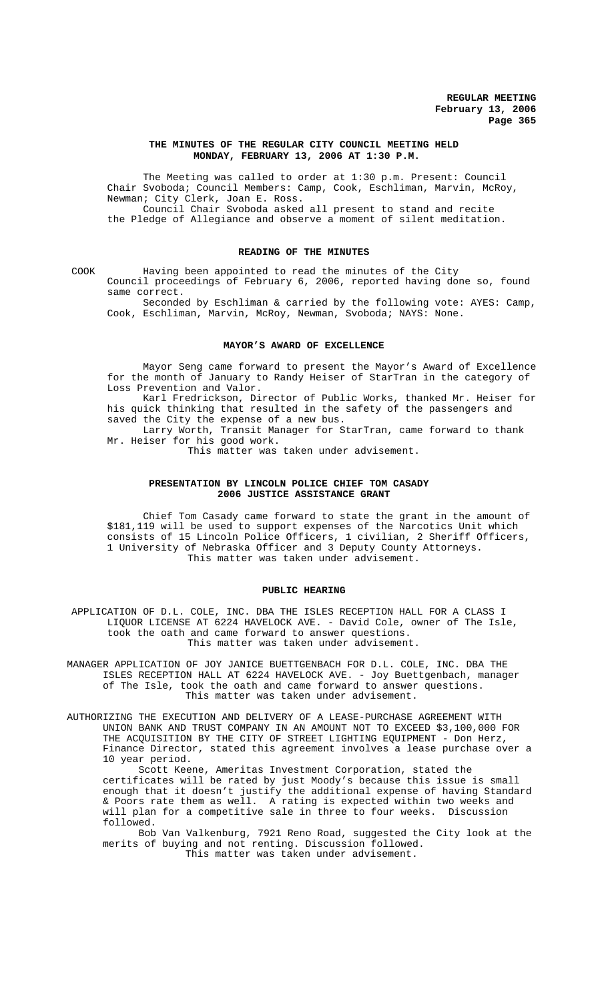### **THE MINUTES OF THE REGULAR CITY COUNCIL MEETING HELD MONDAY, FEBRUARY 13, 2006 AT 1:30 P.M.**

The Meeting was called to order at 1:30 p.m. Present: Council Chair Svoboda; Council Members: Camp, Cook, Eschliman, Marvin, McRoy, Newman; City Clerk, Joan E. Ross. Council Chair Svoboda asked all present to stand and recite

the Pledge of Allegiance and observe a moment of silent meditation.

## **READING OF THE MINUTES**

COOK Having been appointed to read the minutes of the City Council proceedings of February 6, 2006, reported having done so, found same correct.

Seconded by Eschliman & carried by the following vote: AYES: Camp, Cook, Eschliman, Marvin, McRoy, Newman, Svoboda; NAYS: None.

#### **MAYOR'S AWARD OF EXCELLENCE**

Mayor Seng came forward to present the Mayor's Award of Excellence for the month of January to Randy Heiser of StarTran in the category of Loss Prevention and Valor.

Karl Fredrickson, Director of Public Works, thanked Mr. Heiser for his quick thinking that resulted in the safety of the passengers and saved the City the expense of a new bus.

Larry Worth, Transit Manager for StarTran, came forward to thank Mr. Heiser for his good work.

This matter was taken under advisement.

## **PRESENTATION BY LINCOLN POLICE CHIEF TOM CASADY 2006 JUSTICE ASSISTANCE GRANT**

Chief Tom Casady came forward to state the grant in the amount of \$181,119 will be used to support expenses of the Narcotics Unit which consists of 15 Lincoln Police Officers, 1 civilian, 2 Sheriff Officers, 1 University of Nebraska Officer and 3 Deputy County Attorneys. This matter was taken under advisement.

#### **PUBLIC HEARING**

APPLICATION OF D.L. COLE, INC. DBA THE ISLES RECEPTION HALL FOR A CLASS I LIQUOR LICENSE AT 6224 HAVELOCK AVE. - David Cole, owner of The Isle, took the oath and came forward to answer questions. This matter was taken under advisement.

MANAGER APPLICATION OF JOY JANICE BUETTGENBACH FOR D.L. COLE, INC. DBA THE ISLES RECEPTION HALL AT 6224 HAVELOCK AVE. - Joy Buettgenbach, manager of The Isle, took the oath and came forward to answer questions. This matter was taken under advisement.

AUTHORIZING THE EXECUTION AND DELIVERY OF A LEASE-PURCHASE AGREEMENT WITH UNION BANK AND TRUST COMPANY IN AN AMOUNT NOT TO EXCEED \$3,100,000 FOR THE ACQUISITION BY THE CITY OF STREET LIGHTING EQUIPMENT - Don Herz, Finance Director, stated this agreement involves a lease purchase over a 10 year period.

Scott Keene, Ameritas Investment Corporation, stated the certificates will be rated by just Moody's because this issue is small enough that it doesn't justify the additional expense of having Standard & Poors rate them as well. A rating is expected within two weeks and will plan for a competitive sale in three to four weeks. Discussion followed.

Bob Van Valkenburg, 7921 Reno Road, suggested the City look at the merits of buying and not renting. Discussion followed. This matter was taken under advisement.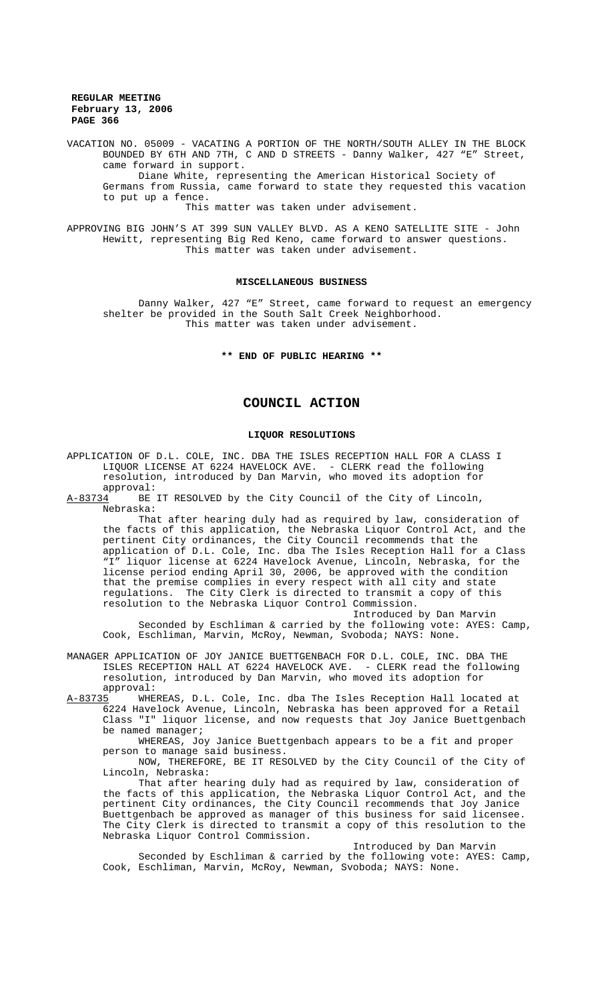## **REGULAR MEETING February 13, 2006 PAGE 366**

VACATION NO. 05009 - VACATING A PORTION OF THE NORTH/SOUTH ALLEY IN THE BLOCK BOUNDED BY 6TH AND 7TH, C AND D STREETS - Danny Walker, 427 "E" Street, came forward in support.

Diane White, representing the American Historical Society of Germans from Russia, came forward to state they requested this vacation to put up a fence.

### This matter was taken under advisement.

APPROVING BIG JOHN'S AT 399 SUN VALLEY BLVD. AS A KENO SATELLITE SITE - John Hewitt, representing Big Red Keno, came forward to answer questions. This matter was taken under advisement.

### MISCELLANEOUS BUSINESS

Danny Walker, 427 "E" Street, came forward to request an emergency shelter be provided in the South Salt Creek Neighborhood. This matter was taken under advisement.

**\*\* END OF PUBLIC HEARING \*\***

# **COUNCIL ACTION**

### **LIQUOR RESOLUTIONS**

APPLICATION OF D.L. COLE, INC. DBA THE ISLES RECEPTION HALL FOR A CLASS I LIQUOR LICENSE AT 6224 HAVELOCK AVE. - CLERK read the following resolution, introduced by Dan Marvin, who moved its adoption for approval:<br><u>A-83734</u> BE

BE IT RESOLVED by the City Council of the City of Lincoln, Nebraska:

That after hearing duly had as required by law, consideration of the facts of this application, the Nebraska Liquor Control Act, and the pertinent City ordinances, the City Council recommends that the application of D.L. Cole, Inc. dba The Isles Reception Hall for a Class "I" liquor license at 6224 Havelock Avenue, Lincoln, Nebraska, for the license period ending April 30, 2006, be approved with the condition that the premise complies in every respect with all city and state regulations. The City Clerk is directed to transmit a copy of this resolution to the Nebraska Liquor Control Commission. Introduced by Dan Marvin

Seconded by Eschliman & carried by the following vote: AYES: Camp, Cook, Eschliman, Marvin, McRoy, Newman, Svoboda; NAYS: None.

MANAGER APPLICATION OF JOY JANICE BUETTGENBACH FOR D.L. COLE, INC. DBA THE ISLES RECEPTION HALL AT 6224 HAVELOCK AVE. - CLERK read the following resolution, introduced by Dan Marvin, who moved its adoption for

approval:<br><u>A-83735</u> WHE WHEREAS, D.L. Cole, Inc. dba The Isles Reception Hall located at 6224 Havelock Avenue, Lincoln, Nebraska has been approved for a Retail Class "I" liquor license, and now requests that Joy Janice Buettgenbach be named manager;

WHEREAS, Joy Janice Buettgenbach appears to be a fit and proper person to manage said business.

NOW, THEREFORE, BE IT RESOLVED by the City Council of the City of Lincoln, Nebraska:

That after hearing duly had as required by law, consideration of the facts of this application, the Nebraska Liquor Control Act, and the pertinent City ordinances, the City Council recommends that Joy Janice Buettgenbach be approved as manager of this business for said licensee. The City Clerk is directed to transmit a copy of this resolution to the Nebraska Liquor Control Commission.

# Introduced by Dan Marvin

Seconded by Eschliman & carried by the following vote: AYES: Camp, Cook, Eschliman, Marvin, McRoy, Newman, Svoboda; NAYS: None.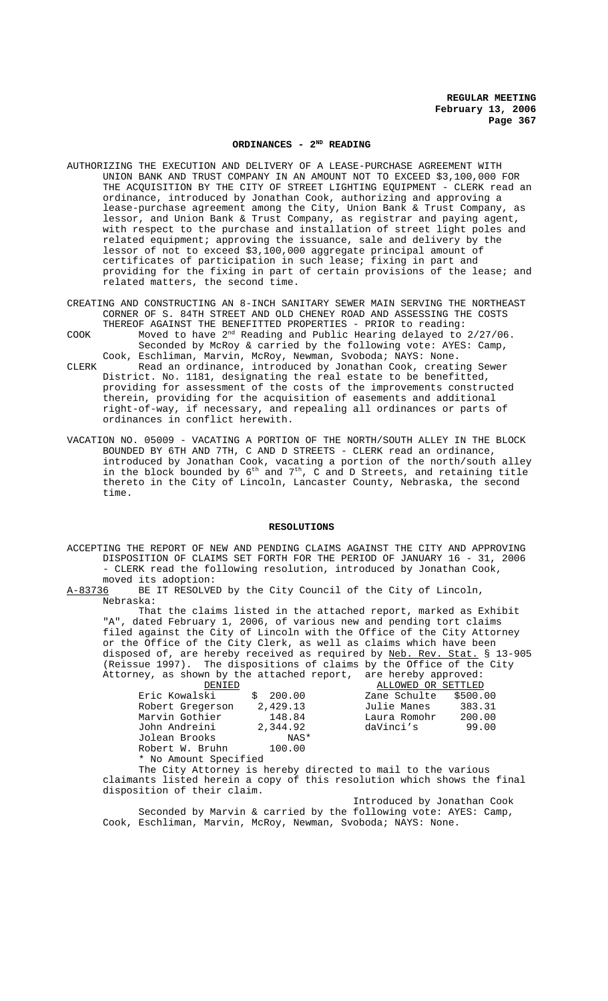# **ORDINANCES - 2ND READING**

- AUTHORIZING THE EXECUTION AND DELIVERY OF A LEASE-PURCHASE AGREEMENT WITH UNION BANK AND TRUST COMPANY IN AN AMOUNT NOT TO EXCEED \$3,100,000 FOR THE ACQUISITION BY THE CITY OF STREET LIGHTING EQUIPMENT - CLERK read an ordinance, introduced by Jonathan Cook, authorizing and approving a lease-purchase agreement among the City, Union Bank & Trust Company, as lessor, and Union Bank & Trust Company, as registrar and paying agent, with respect to the purchase and installation of street light poles and related equipment; approving the issuance, sale and delivery by the lessor of not to exceed \$3,100,000 aggregate principal amount of certificates of participation in such lease; fixing in part and providing for the fixing in part of certain provisions of the lease; and related matters, the second time.
- CREATING AND CONSTRUCTING AN 8-INCH SANITARY SEWER MAIN SERVING THE NORTHEAST CORNER OF S. 84TH STREET AND OLD CHENEY ROAD AND ASSESSING THE COSTS THEREOF AGAINST THE BENEFITTED PROPERTIES - PRIOR to reading:
- COOK Moved to have 2nd Reading and Public Hearing delayed to 2/27/06. Seconded by McRoy & carried by the following vote: AYES: Camp,
- Cook, Eschliman, Marvin, McRoy, Newman, Svoboda; NAYS: None. CLERK Read an ordinance, introduced by Jonathan Cook, creating Sewer District. No. 1181, designating the real estate to be benefitted, providing for assessment of the costs of the improvements constructed therein, providing for the acquisition of easements and additional right-of-way, if necessary, and repealing all ordinances or parts of ordinances in conflict herewith.
- VACATION NO. 05009 VACATING A PORTION OF THE NORTH/SOUTH ALLEY IN THE BLOCK BOUNDED BY 6TH AND 7TH, C AND D STREETS - CLERK read an ordinance, introduced by Jonathan Cook, vacating a portion of the north/south alley in the block bounded by  $6^{\text{th}}$  and  $7^{\text{th}}$ , C and D Streets, and retaining title thereto in the City of Lincoln, Lancaster County, Nebraska, the second time.

#### **RESOLUTIONS**

ACCEPTING THE REPORT OF NEW AND PENDING CLAIMS AGAINST THE CITY AND APPROVING DISPOSITION OF CLAIMS SET FORTH FOR THE PERIOD OF JANUARY 16 - 31, 2006 - CLERK read the following resolution, introduced by Jonathan Cook, moved its adoption:

A-83736 BE IT RESOLVED by the City Council of the City of Lincoln, Nebraska:

That the claims listed in the attached report, marked as Exhibit "A", dated February 1, 2006, of various new and pending tort claims filed against the City of Lincoln with the Office of the City Attorney or the Office of the City Clerk, as well as claims which have been disposed of, are hereby received as required by Neb. Rev. Stat. § 13-905 (Reissue 1997). The dispositions of claims by the Office of the City Attorney, as shown by the attached report, are hereby approved:

| DENIED                                                      |          | ALLOWED OR SETTLED |          |
|-------------------------------------------------------------|----------|--------------------|----------|
| Eric Kowalski                                               | 200.00   | Zane Schulte       | \$500.00 |
| Robert Gregerson                                            | 2,429.13 | Julie Manes        | 383.31   |
| Marvin Gothier                                              | 148.84   | Laura Romohr       | 200.00   |
| John Andreini                                               | 2,344.92 | daVinci's          | 99.00    |
| Jolean Brooks                                               | NAS*     |                    |          |
| Robert W. Bruhn                                             | 100.00   |                    |          |
| * No Amount Specified                                       |          |                    |          |
| The City Attorney is hereby directed to mail to the various |          |                    |          |

claimants listed herein a copy of this resolution which shows the final disposition of their claim.

Introduced by Jonathan Cook Seconded by Marvin & carried by the following vote: AYES: Camp, Cook, Eschliman, Marvin, McRoy, Newman, Svoboda; NAYS: None.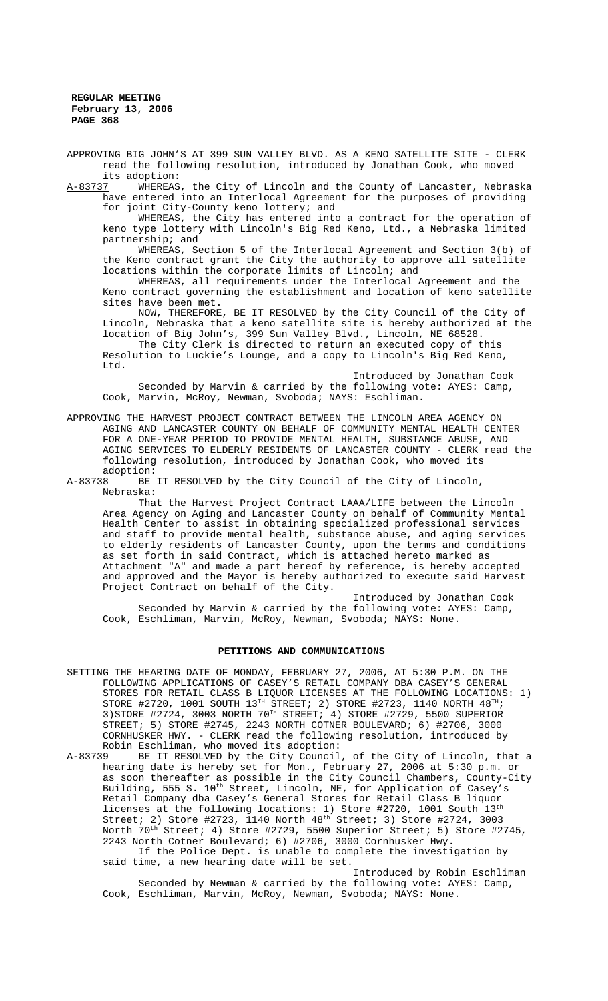**REGULAR MEETING February 13, 2006 PAGE 368**

APPROVING BIG JOHN'S AT 399 SUN VALLEY BLVD. AS A KENO SATELLITE SITE - CLERK read the following resolution, introduced by Jonathan Cook, who moved its adoption:<br><u>A-83737</u> WHEREAS

WHEREAS, the City of Lincoln and the County of Lancaster, Nebraska have entered into an Interlocal Agreement for the purposes of providing for joint City-County keno lottery; and

WHEREAS, the City has entered into a contract for the operation of keno type lottery with Lincoln's Big Red Keno, Ltd., a Nebraska limited partnership; and

WHEREAS, Section 5 of the Interlocal Agreement and Section 3(b) of the Keno contract grant the City the authority to approve all satellite locations within the corporate limits of Lincoln; and

WHEREAS, all requirements under the Interlocal Agreement and the Keno contract governing the establishment and location of keno satellite sites have been met.

NOW, THEREFORE, BE IT RESOLVED by the City Council of the City of Lincoln, Nebraska that a keno satellite site is hereby authorized at the location of Big John's, 399 Sun Valley Blvd., Lincoln, NE 68528. The City Clerk is directed to return an executed copy of this

Resolution to Luckie's Lounge, and a copy to Lincoln's Big Red Keno, Ltd.

Introduced by Jonathan Cook Seconded by Marvin & carried by the following vote: AYES: Camp, Cook, Marvin, McRoy, Newman, Svoboda; NAYS: Eschliman.

APPROVING THE HARVEST PROJECT CONTRACT BETWEEN THE LINCOLN AREA AGENCY ON AGING AND LANCASTER COUNTY ON BEHALF OF COMMUNITY MENTAL HEALTH CENTER FOR A ONE-YEAR PERIOD TO PROVIDE MENTAL HEALTH, SUBSTANCE ABUSE, AND AGING SERVICES TO ELDERLY RESIDENTS OF LANCASTER COUNTY - CLERK read the following resolution, introduced by Jonathan Cook, who moved its

adoption:<br><u>A-83738</u> BE BE IT RESOLVED by the City Council of the City of Lincoln, Nebraska:

That the Harvest Project Contract LAAA/LIFE between the Lincoln Area Agency on Aging and Lancaster County on behalf of Community Mental Health Center to assist in obtaining specialized professional services and staff to provide mental health, substance abuse, and aging services to elderly residents of Lancaster County, upon the terms and conditions as set forth in said Contract, which is attached hereto marked as Attachment "A" and made a part hereof by reference, is hereby accepted and approved and the Mayor is hereby authorized to execute said Harvest Project Contract on behalf of the City.

Introduced by Jonathan Cook Seconded by Marvin & carried by the following vote: AYES: Camp, Cook, Eschliman, Marvin, McRoy, Newman, Svoboda; NAYS: None.

#### **PETITIONS AND COMMUNICATIONS**

- SETTING THE HEARING DATE OF MONDAY, FEBRUARY 27, 2006, AT 5:30 P.M. ON THE FOLLOWING APPLICATIONS OF CASEY'S RETAIL COMPANY DBA CASEY'S GENERAL STORES FOR RETAIL CLASS B LIQUOR LICENSES AT THE FOLLOWING LOCATIONS: 1) STORE #2720, 1001 SOUTH  $13^{TH}$  STREET; 2) STORE #2723, 1140 NORTH  $48^{TH}$ ;  $3)$ STORE #2724, 3003 NORTH 70<sup>TH</sup> STREET; 4) STORE #2729, 5500 SUPERIOR STREET; 5) STORE #2745, 2243 NORTH COTNER BOULEVARD; 6) #2706, 3000 CORNHUSKER HWY. - CLERK read the following resolution, introduced by Robin Eschliman, who moved its adoption:
- A-83739 BE IT RESOLVED by the City Council, of the City of Lincoln, that a hearing date is hereby set for Mon., February 27, 2006 at 5:30 p.m. or as soon thereafter as possible in the City Council Chambers, County-City Building, 555 S. 10<sup>th</sup> Street, Lincoln, NE, for Application of Casey's Retail Company dba Casey's General Stores for Retail Class B liquor licenses at the following locations: 1) Store  $#2720$ , 1001 South  $13^{th}$ Street; 2) Store #2723, 1140 North  $48^{\text{th}}$  Street; 3) Store #2724, 3003 North 70<sup>th</sup> Street; 4) Store #2729, 5500 Superior Street; 5) Store #2745, 2243 North Cotner Boulevard; 6) #2706, 3000 Cornhusker Hwy. If the Police Dept. is unable to complete the investigation by

said time, a new hearing date will be set.

Introduced by Robin Eschliman Seconded by Newman & carried by the following vote: AYES: Camp, Cook, Eschliman, Marvin, McRoy, Newman, Svoboda; NAYS: None.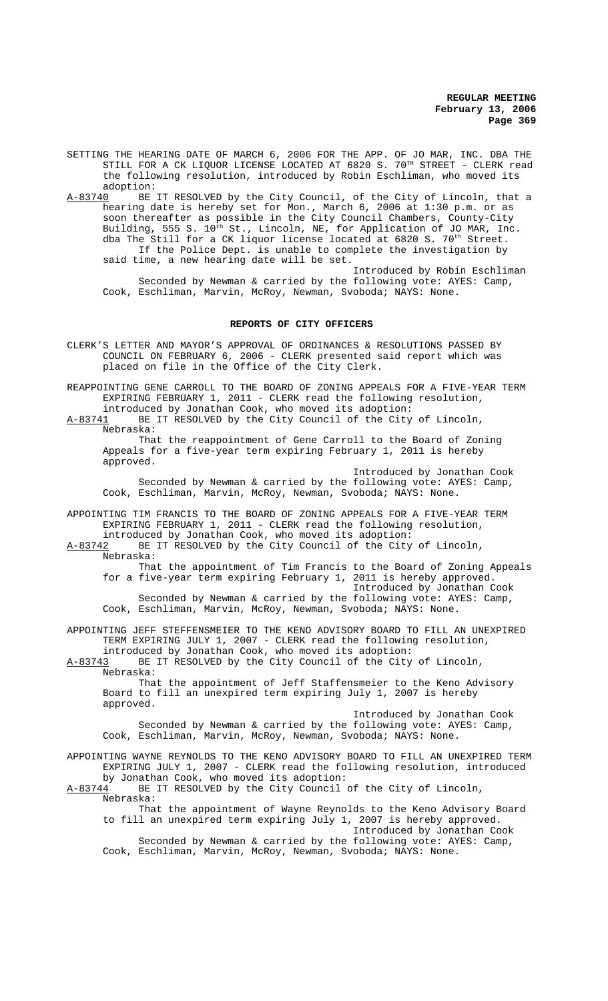**REGULAR MEETING February 13, 2006 Page 369**

SETTING THE HEARING DATE OF MARCH 6, 2006 FOR THE APP. OF JO MAR, INC. DBA THE STILL FOR A CK LIQUOR LICENSE LOCATED AT  $6820\,$  S.  $70^{\text{TH}}$  STREET - CLERK read the following resolution, introduced by Robin Eschliman, who moved its adoption:<br>A-83740 BE

BE IT RESOLVED by the City Council, of the City of Lincoln, that a hearing date is hereby set for Mon., March 6, 2006 at 1:30 p.m. or as soon thereafter as possible in the City Council Chambers, County-City Building, 555 S. 10<sup>th</sup> St., Lincoln, NE, for Application of JO MAR, Inc. dba The Still for a CK liquor license located at  $6820$  S.  $70^{th}$  Street. If the Police Dept. is unable to complete the investigation by said time, a new hearing date will be set.

Introduced by Robin Eschliman Seconded by Newman & carried by the following vote: AYES: Camp, Cook, Eschliman, Marvin, McRoy, Newman, Svoboda; NAYS: None.

### **REPORTS OF CITY OFFICERS**

CLERK'S LETTER AND MAYOR'S APPROVAL OF ORDINANCES & RESOLUTIONS PASSED BY COUNCIL ON FEBRUARY 6, 2006 - CLERK presented said report which was placed on file in the Office of the City Clerk.

REAPPOINTING GENE CARROLL TO THE BOARD OF ZONING APPEALS FOR A FIVE-YEAR TERM EXPIRING FEBRUARY 1, 2011 - CLERK read the following resolution, introduced by Jonathan Cook, who moved its adoption:<br>A-83741 BE IT RESOLVED by the City Council of the City

BE IT RESOLVED by the City Council of the City of Lincoln, Nebraska:

That the reappointment of Gene Carroll to the Board of Zoning Appeals for a five-year term expiring February 1, 2011 is hereby approved.

Introduced by Jonathan Cook Seconded by Newman & carried by the following vote: AYES: Camp, Cook, Eschliman, Marvin, McRoy, Newman, Svoboda; NAYS: None.

APPOINTING TIM FRANCIS TO THE BOARD OF ZONING APPEALS FOR A FIVE-YEAR TERM EXPIRING FEBRUARY 1, 2011 - CLERK read the following resolution, introduced by Jonathan Cook, who moved its adoption:

A-83742 BE IT RESOLVED by the City Council of the City of Lincoln, Nebraska:

That the appointment of Tim Francis to the Board of Zoning Appeals for a five-year term expiring February 1, 2011 is hereby approved.

Introduced by Jonathan Cook Seconded by Newman & carried by the following vote: AYES: Camp, Cook, Eschliman, Marvin, McRoy, Newman, Svoboda; NAYS: None.

APPOINTING JEFF STEFFENSMEIER TO THE KENO ADVISORY BOARD TO FILL AN UNEXPIRED TERM EXPIRING JULY 1, 2007 - CLERK read the following resolution,

introduced by Jonathan Cook, who moved its adoption:<br>A-83743 BE IT RESOLVED by the City Council of the City BE IT RESOLVED by the City Council of the City of Lincoln, Nebraska:

That the appointment of Jeff Staffensmeier to the Keno Advisory Board to fill an unexpired term expiring July 1, 2007 is hereby approved.

Introduced by Jonathan Cook Seconded by Newman & carried by the following vote: AYES: Camp, Cook, Eschliman, Marvin, McRoy, Newman, Svoboda; NAYS: None.

APPOINTING WAYNE REYNOLDS TO THE KENO ADVISORY BOARD TO FILL AN UNEXPIRED TERM EXPIRING JULY 1, 2007 - CLERK read the following resolution, introduced by Jonathan Cook, who moved its adoption:<br>A-83744 BE IT RESOLVED by the City Council o

BE IT RESOLVED by the City Council of the City of Lincoln, Nebraska:

That the appointment of Wayne Reynolds to the Keno Advisory Board to fill an unexpired term expiring July 1, 2007 is hereby approved. Introduced by Jonathan Cook

Seconded by Newman & carried by the following vote: AYES: Camp, Cook, Eschliman, Marvin, McRoy, Newman, Svoboda; NAYS: None.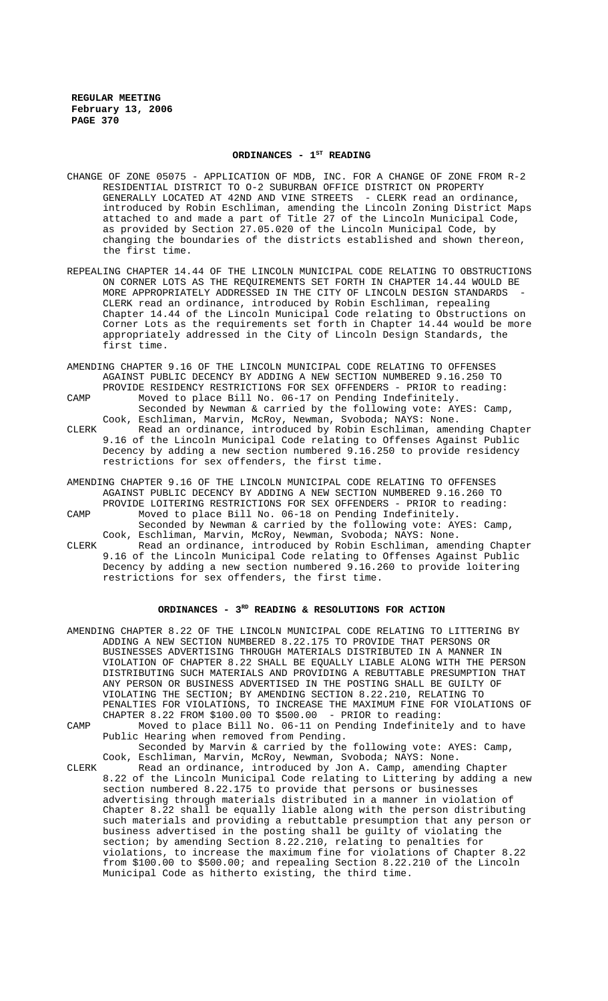# ORDINANCES - 1<sup>st</sup> READING

- CHANGE OF ZONE 05075 APPLICATION OF MDB, INC. FOR A CHANGE OF ZONE FROM R-2 RESIDENTIAL DISTRICT TO O-2 SUBURBAN OFFICE DISTRICT ON PROPERTY GENERALLY LOCATED AT 42ND AND VINE STREETS - CLERK read an ordinance, introduced by Robin Eschliman, amending the Lincoln Zoning District Maps attached to and made a part of Title 27 of the Lincoln Municipal Code, as provided by Section 27.05.020 of the Lincoln Municipal Code, by changing the boundaries of the districts established and shown thereon, the first time.
- REPEALING CHAPTER 14.44 OF THE LINCOLN MUNICIPAL CODE RELATING TO OBSTRUCTIONS ON CORNER LOTS AS THE REQUIREMENTS SET FORTH IN CHAPTER 14.44 WOULD BE MORE APPROPRIATELY ADDRESSED IN THE CITY OF LINCOLN DESIGN STANDARDS CLERK read an ordinance, introduced by Robin Eschliman, repealing Chapter 14.44 of the Lincoln Municipal Code relating to Obstructions on Corner Lots as the requirements set forth in Chapter 14.44 would be more appropriately addressed in the City of Lincoln Design Standards, the first time.
- AMENDING CHAPTER 9.16 OF THE LINCOLN MUNICIPAL CODE RELATING TO OFFENSES AGAINST PUBLIC DECENCY BY ADDING A NEW SECTION NUMBERED 9.16.250 TO PROVIDE RESIDENCY RESTRICTIONS FOR SEX OFFENDERS - PRIOR to reading:
- CAMP Moved to place Bill No. 06-17 on Pending Indefinitely. Seconded by Newman & carried by the following vote: AYES: Camp, Cook, Eschliman, Marvin, McRoy, Newman, Svoboda; NAYS: None. CLERK Read an ordinance, introduced by Robin Eschliman, amending Chapter 9.16 of the Lincoln Municipal Code relating to Offenses Against Public Decency by adding a new section numbered 9.16.250 to provide residency restrictions for sex offenders, the first time.
- AMENDING CHAPTER 9.16 OF THE LINCOLN MUNICIPAL CODE RELATING TO OFFENSES AGAINST PUBLIC DECENCY BY ADDING A NEW SECTION NUMBERED 9.16.260 TO PROVIDE LOITERING RESTRICTIONS FOR SEX OFFENDERS - PRIOR to reading: CAMP Moved to place Bill No. 06-18 on Pending Indefinitely. Seconded by Newman & carried by the following vote: AYES: Camp, Cook, Eschliman, Marvin, McRoy, Newman, Svoboda; NAYS: None.
- CLERK Read an ordinance, introduced by Robin Eschliman, amending Chapter 9.16 of the Lincoln Municipal Code relating to Offenses Against Public Decency by adding a new section numbered 9.16.260 to provide loitering restrictions for sex offenders, the first time.

# ORDINANCES - 3<sup>RD</sup> READING & RESOLUTIONS FOR ACTION

|       | AMENDING CHAPTER 8.22 OF THE LINCOLN MUNICIPAL CODE RELATING TO LITTERING BY<br>ADDING A NEW SECTION NUMBERED 8.22.175 TO PROVIDE THAT PERSONS OR                                                                                                                                                                                                                                                                                                                                                                                                                                                                                                                                                                                                                                                         |
|-------|-----------------------------------------------------------------------------------------------------------------------------------------------------------------------------------------------------------------------------------------------------------------------------------------------------------------------------------------------------------------------------------------------------------------------------------------------------------------------------------------------------------------------------------------------------------------------------------------------------------------------------------------------------------------------------------------------------------------------------------------------------------------------------------------------------------|
|       | BUSINESSES ADVERTISING THROUGH MATERIALS DISTRIBUTED IN A MANNER IN<br>VIOLATION OF CHAPTER 8.22 SHALL BE EOUALLY LIABLE ALONG WITH THE PERSON                                                                                                                                                                                                                                                                                                                                                                                                                                                                                                                                                                                                                                                            |
|       | DISTRIBUTING SUCH MATERIALS AND PROVIDING A REBUTTABLE PRESUMPTION THAT<br>ANY PERSON OR BUSINESS ADVERTISED IN THE POSTING SHALL BE GUILTY OF                                                                                                                                                                                                                                                                                                                                                                                                                                                                                                                                                                                                                                                            |
|       | VIOLATING THE SECTION; BY AMENDING SECTION 8.22.210, RELATING TO<br>PENALTIES FOR VIOLATIONS, TO INCREASE THE MAXIMUM FINE FOR VIOLATIONS OF                                                                                                                                                                                                                                                                                                                                                                                                                                                                                                                                                                                                                                                              |
|       | CHAPTER 8.22 FROM \$100.00 TO \$500.00 - PRIOR to reading:                                                                                                                                                                                                                                                                                                                                                                                                                                                                                                                                                                                                                                                                                                                                                |
| CAMP  | Moved to place Bill No. 06-11 on Pending Indefinitely and to have<br>Public Hearing when removed from Pending.                                                                                                                                                                                                                                                                                                                                                                                                                                                                                                                                                                                                                                                                                            |
|       | Seconded by Marvin & carried by the following vote: AYES: Camp,<br>Cook, Eschliman, Marvin, McRoy, Newman, Svoboda; NAYS: None.                                                                                                                                                                                                                                                                                                                                                                                                                                                                                                                                                                                                                                                                           |
| CLERK | Read an ordinance, introduced by Jon A. Camp, amending Chapter<br>8.22 of the Lincoln Municipal Code relating to Littering by adding a new<br>section numbered 8.22.175 to provide that persons or businesses<br>advertising through materials distributed in a manner in violation of<br>Chapter 8.22 shall be equally liable along with the person distributing<br>such materials and providing a rebuttable presumption that any person or<br>business advertised in the posting shall be guilty of violating the<br>section; by amending Section 8.22.210, relating to penalties for<br>violations, to increase the maximum fine for violations of Chapter 8.22<br>from \$100.00 to \$500.00; and repealing Section $8.22.210$ of the Lincoln<br>Municipal Code as hitherto existing, the third time. |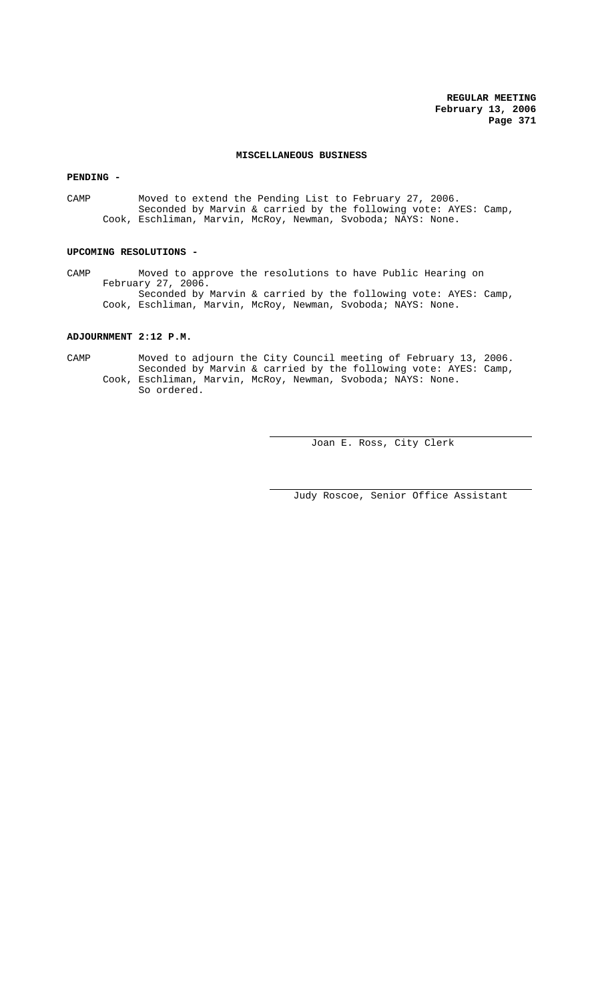**REGULAR MEETING February 13, 2006 Page 371**

## **MISCELLANEOUS BUSINESS**

**PENDING -** 

CAMP Moved to extend the Pending List to February 27, 2006. Seconded by Marvin & carried by the following vote: AYES: Camp, Cook, Eschliman, Marvin, McRoy, Newman, Svoboda; NAYS: None.

# **UPCOMING RESOLUTIONS -**

CAMP Moved to approve the resolutions to have Public Hearing on February 27, 2006. Seconded by Marvin & carried by the following vote: AYES: Camp, Cook, Eschliman, Marvin, McRoy, Newman, Svoboda; NAYS: None.

# **ADJOURNMENT 2:12 P.M.**

CAMP Moved to adjourn the City Council meeting of February 13, 2006. Seconded by Marvin & carried by the following vote: AYES: Camp, Cook, Eschliman, Marvin, McRoy, Newman, Svoboda; NAYS: None. So ordered.

Joan E. Ross, City Clerk

Judy Roscoe, Senior Office Assistant